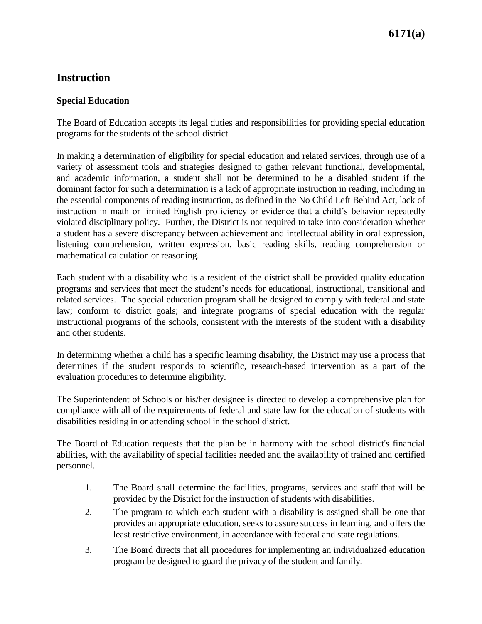### **Instruction**

#### **Special Education**

The Board of Education accepts its legal duties and responsibilities for providing special education programs for the students of the school district.

In making a determination of eligibility for special education and related services, through use of a variety of assessment tools and strategies designed to gather relevant functional, developmental, and academic information, a student shall not be determined to be a disabled student if the dominant factor for such a determination is a lack of appropriate instruction in reading, including in the essential components of reading instruction, as defined in the No Child Left Behind Act, lack of instruction in math or limited English proficiency or evidence that a child's behavior repeatedly violated disciplinary policy. Further, the District is not required to take into consideration whether a student has a severe discrepancy between achievement and intellectual ability in oral expression, listening comprehension, written expression, basic reading skills, reading comprehension or mathematical calculation or reasoning.

Each student with a disability who is a resident of the district shall be provided quality education programs and services that meet the student's needs for educational, instructional, transitional and related services. The special education program shall be designed to comply with federal and state law; conform to district goals; and integrate programs of special education with the regular instructional programs of the schools, consistent with the interests of the student with a disability and other students.

In determining whether a child has a specific learning disability, the District may use a process that determines if the student responds to scientific, research-based intervention as a part of the evaluation procedures to determine eligibility.

The Superintendent of Schools or his/her designee is directed to develop a comprehensive plan for compliance with all of the requirements of federal and state law for the education of students with disabilities residing in or attending school in the school district.

The Board of Education requests that the plan be in harmony with the school district's financial abilities, with the availability of special facilities needed and the availability of trained and certified personnel.

- 1. The Board shall determine the facilities, programs, services and staff that will be provided by the District for the instruction of students with disabilities.
- 2. The program to which each student with a disability is assigned shall be one that provides an appropriate education, seeks to assure success in learning, and offers the least restrictive environment, in accordance with federal and state regulations.
- 3. The Board directs that all procedures for implementing an individualized education program be designed to guard the privacy of the student and family.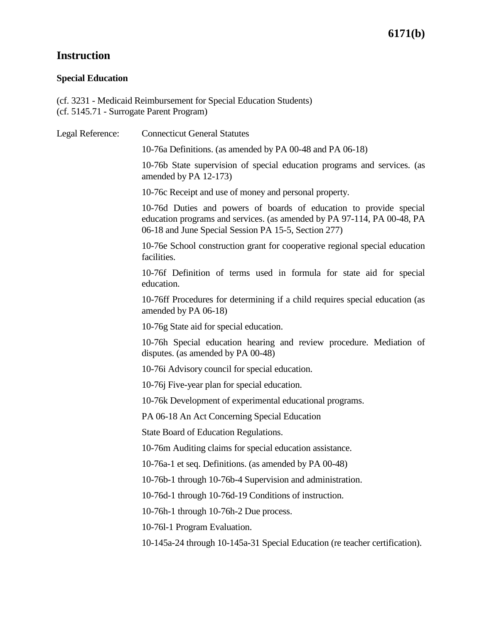# **Instruction**

#### **Special Education**

(cf. 3231 - Medicaid Reimbursement for Special Education Students) (cf. 5145.71 - Surrogate Parent Program)

| Legal Reference: | <b>Connecticut General Statutes</b>                                                                                                                                                                   |
|------------------|-------------------------------------------------------------------------------------------------------------------------------------------------------------------------------------------------------|
|                  | 10-76a Definitions. (as amended by PA 00-48 and PA 06-18)                                                                                                                                             |
|                  | 10-76b State supervision of special education programs and services. (as<br>amended by PA 12-173)                                                                                                     |
|                  | 10-76c Receipt and use of money and personal property.                                                                                                                                                |
|                  | 10-76d Duties and powers of boards of education to provide special<br>education programs and services. (as amended by PA 97-114, PA 00-48, PA<br>06-18 and June Special Session PA 15-5, Section 277) |
|                  | 10-76e School construction grant for cooperative regional special education<br>facilities.                                                                                                            |
|                  | 10-76f Definition of terms used in formula for state aid for special<br>education.                                                                                                                    |
|                  | 10-76ff Procedures for determining if a child requires special education (as<br>amended by PA 06-18)                                                                                                  |
|                  | 10-76g State aid for special education.                                                                                                                                                               |
|                  | 10-76h Special education hearing and review procedure. Mediation of<br>disputes. (as amended by PA 00-48)                                                                                             |
|                  | 10-76i Advisory council for special education.                                                                                                                                                        |
|                  | 10-76 Five-year plan for special education.                                                                                                                                                           |
|                  | 10-76k Development of experimental educational programs.                                                                                                                                              |
|                  | PA 06-18 An Act Concerning Special Education                                                                                                                                                          |
|                  | State Board of Education Regulations.                                                                                                                                                                 |
|                  | 10-76m Auditing claims for special education assistance.                                                                                                                                              |
|                  | 10-76a-1 et seq. Definitions. (as amended by PA 00-48)                                                                                                                                                |
|                  | 10-76b-1 through 10-76b-4 Supervision and administration.                                                                                                                                             |
|                  | 10-76d-1 through 10-76d-19 Conditions of instruction.                                                                                                                                                 |
|                  | 10-76h-1 through 10-76h-2 Due process.                                                                                                                                                                |
|                  | 10-761-1 Program Evaluation.                                                                                                                                                                          |
|                  | 10-145a-24 through 10-145a-31 Special Education (re teacher certification).                                                                                                                           |
|                  |                                                                                                                                                                                                       |
|                  |                                                                                                                                                                                                       |